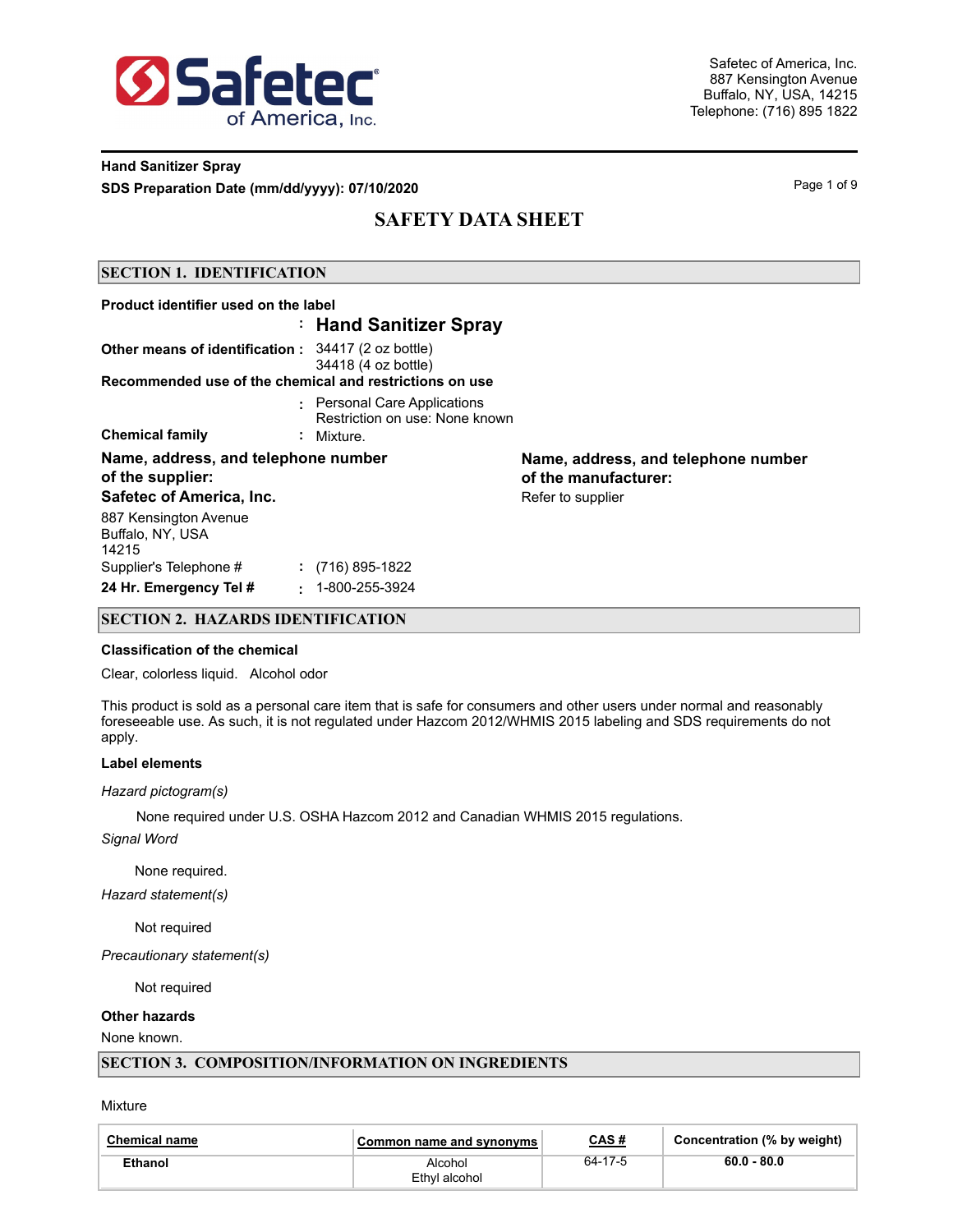

### **Hand Sanitizer Spray SDS Preparation Date (mm/dd/yyyy): 07/10/2020 Page 1 of 9** Page 1 of 9

# **SAFETY DATA SHEET**

#### **SECTION 1. IDENTIFICATION**

| Product identifier used on the label                      |        |                                                                |                                                             |  |
|-----------------------------------------------------------|--------|----------------------------------------------------------------|-------------------------------------------------------------|--|
|                                                           |        | : Hand Sanitizer Spray                                         |                                                             |  |
| <b>Other means of identification:</b> 34417 (2 oz bottle) |        | 34418 (4 oz bottle)                                            |                                                             |  |
| Recommended use of the chemical and restrictions on use   |        |                                                                |                                                             |  |
|                                                           |        | : Personal Care Applications<br>Restriction on use: None known |                                                             |  |
| <b>Chemical family</b>                                    |        | : Mixture.                                                     |                                                             |  |
| Name, address, and telephone number<br>of the supplier:   |        |                                                                | Name, address, and telephone number<br>of the manufacturer: |  |
| Safetec of America, Inc.                                  |        |                                                                | Refer to supplier                                           |  |
| 887 Kensington Avenue<br>Buffalo, NY, USA<br>14215        |        |                                                                |                                                             |  |
| Supplier's Telephone #                                    |        | $\colon$ (716) 895-1822                                        |                                                             |  |
| 24 Hr. Emergency Tel #                                    | $\sim$ | 1-800-255-3924                                                 |                                                             |  |

#### **SECTION 2. HAZARDS IDENTIFICATION**

#### **Classification of the chemical**

Clear, colorless liquid. Alcohol odor

This product is sold as a personal care item that is safe for consumers and other users under normal and reasonably foreseeable use. As such, it is not regulated under Hazcom 2012/WHMIS 2015 labeling and SDS requirements do not apply.

#### **Label elements**

#### *Hazard pictogram(s)*

None required under U.S. OSHA Hazcom 2012 and Canadian WHMIS 2015 regulations.

*Signal Word*

None required.

*Hazard statement(s)*

Not required

*Precautionary statement(s)*

Not required

#### **Other hazards**

None known.

#### **SECTION 3. COMPOSITION/INFORMATION ON INGREDIENTS**

Mixture

| <b>Chemical name</b> | Common name and synonyms | CAS#    | Concentration (% by weight) |
|----------------------|--------------------------|---------|-----------------------------|
| Ethanol              | Alcohol<br>Ethyl alcohol | 64-17-5 | $60.0 - 80.0$               |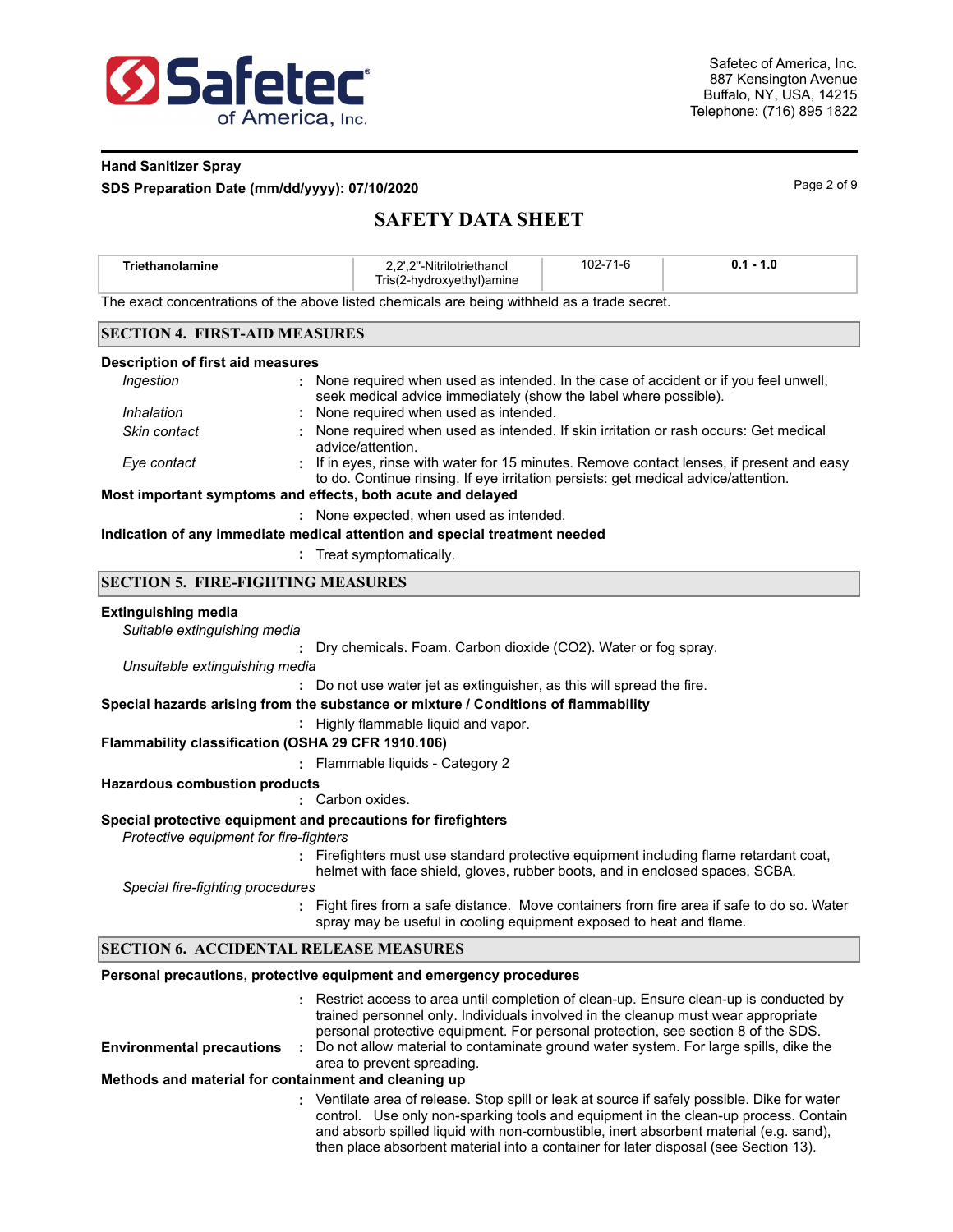

#### **Hand Sanitizer Spray**

**SDS Preparation Date (mm/dd/yyyy): 07/10/2020** Page 2 of 9

# **SAFETY DATA SHEET**

| <b>Triethanolamine</b>                                                                       | 2.2"-Nitrilotriethanol<br>Tris(2-hydroxyethyl)amine | 102-71-6 | $0.1 - 1.0$ |  |
|----------------------------------------------------------------------------------------------|-----------------------------------------------------|----------|-------------|--|
| The exact concentrations of the above listed chemicals are being withheld as a trade secret. |                                                     |          |             |  |
|                                                                                              |                                                     |          |             |  |

#### **SECTION 4. FIRST-AID MEASURES**

| Description of first aid measures |  |  |
|-----------------------------------|--|--|
|-----------------------------------|--|--|

| Ingestion                                                   | : None required when used as intended. In the case of accident or if you feel unwell,<br>seek medical advice immediately (show the label where possible).                       |  |  |  |
|-------------------------------------------------------------|---------------------------------------------------------------------------------------------------------------------------------------------------------------------------------|--|--|--|
| Inhalation                                                  | : None required when used as intended.                                                                                                                                          |  |  |  |
| Skin contact                                                | : None required when used as intended. If skin irritation or rash occurs: Get medical<br>advice/attention.                                                                      |  |  |  |
| Eye contact                                                 | : If in eyes, rinse with water for 15 minutes. Remove contact lenses, if present and easy<br>to do. Continue rinsing. If eye irritation persists: get medical advice/attention. |  |  |  |
| Most important symptoms and effects, both acute and delayed |                                                                                                                                                                                 |  |  |  |

**:** None expected, when used as intended.

#### **Indication of any immediate medical attention and special treatment needed**

**:** Treat symptomatically.

#### **SECTION 5. FIRE-FIGHTING MEASURES**

#### **Extinguishing media**

*Suitable extinguishing media*

**:** Dry chemicals. Foam. Carbon dioxide (CO2). Water or fog spray.

*Unsuitable extinguishing media*

**:** Do not use water jet as extinguisher, as this will spread the fire.

### **Special hazards arising from the substance or mixture / Conditions of flammability**

**:** Highly flammable liquid and vapor.

#### **Flammability classification (OSHA 29 CFR 1910.106)**

**:** Flammable liquids - Category 2

#### **Hazardous combustion products**

**:** Carbon oxides.

#### **Special protective equipment and precautions for firefighters**

*Protective equipment for fire-fighters*

**:** Firefighters must use standard protective equipment including flame retardant coat, helmet with face shield, gloves, rubber boots, and in enclosed spaces, SCBA.

*Special fire-fighting procedures*

**:** Fight fires from a safe distance. Move containers from fire area if safe to do so. Water spray may be useful in cooling equipment exposed to heat and flame.

#### **SECTION 6. ACCIDENTAL RELEASE MEASURES**

#### **Personal precautions, protective equipment and emergency procedures**

|                                                      | : Restrict access to area until completion of clean-up. Ensure clean-up is conducted by<br>trained personnel only. Individuals involved in the cleanup must wear appropriate<br>personal protective equipment. For personal protection, see section 8 of the SDS.                                                                                                   |
|------------------------------------------------------|---------------------------------------------------------------------------------------------------------------------------------------------------------------------------------------------------------------------------------------------------------------------------------------------------------------------------------------------------------------------|
| <b>Environmental precautions</b>                     | Do not allow material to contaminate ground water system. For large spills, dike the<br>area to prevent spreading.                                                                                                                                                                                                                                                  |
| Methods and material for containment and cleaning up |                                                                                                                                                                                                                                                                                                                                                                     |
|                                                      | : Ventilate area of release. Stop spill or leak at source if safely possible. Dike for water<br>control. Use only non-sparking tools and equipment in the clean-up process. Contain<br>and absorb spilled liquid with non-combustible, inert absorbent material (e.g. sand),<br>then place absorbent material into a container for later disposal (see Section 13). |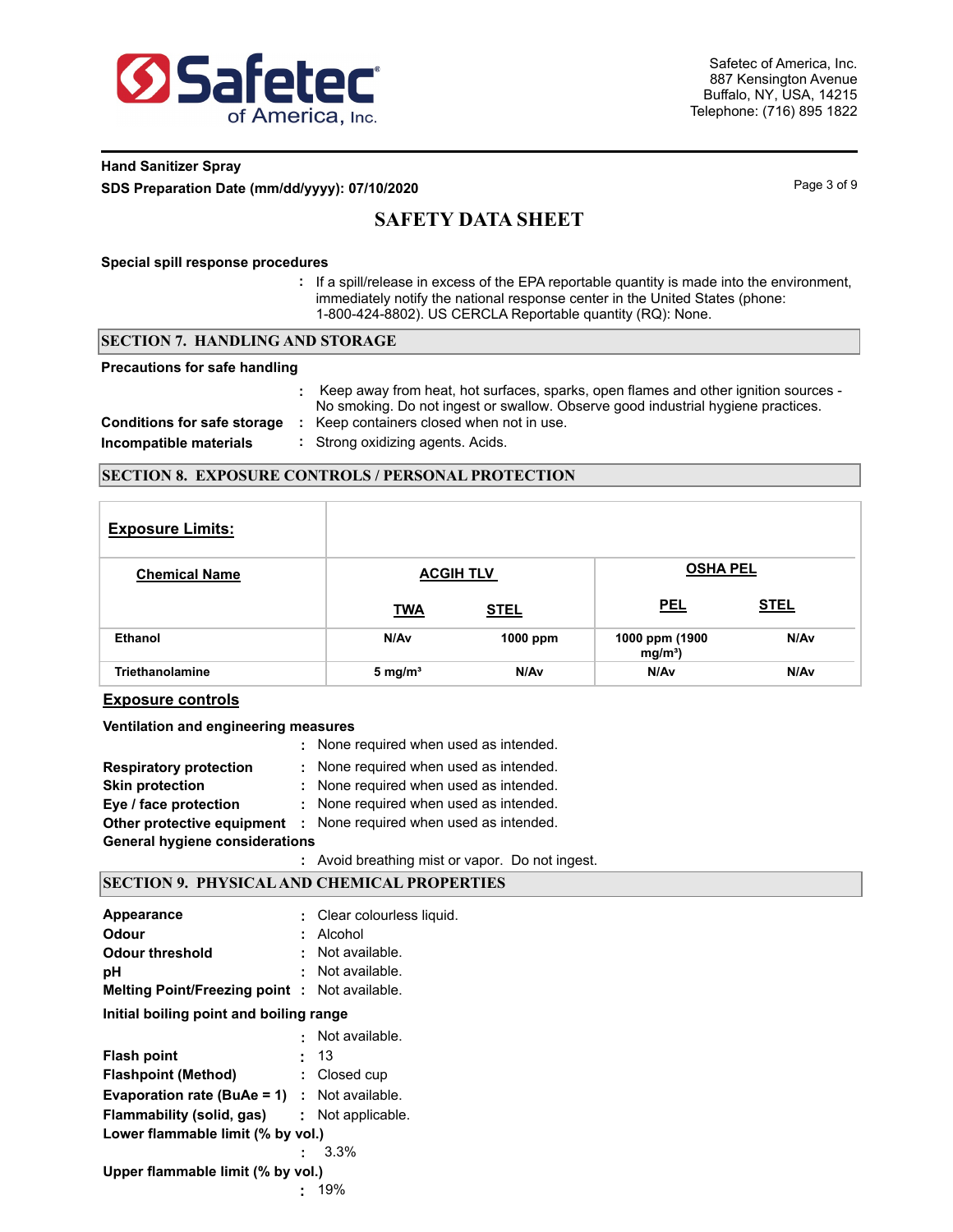

### **Hand Sanitizer Spray SDS Preparation Date (mm/dd/yyyy): 07/10/2020 Page 3 of 9** Page 3 of 9

# **SAFETY DATA SHEET**

#### **Special spill response procedures**

**:** If a spill/release in excess of the EPA reportable quantity is made into the environment, immediately notify the national response center in the United States (phone: 1-800-424-8802). US CERCLA Reportable quantity (RQ): None.

#### **SECTION 7. HANDLING AND STORAGE**

#### **Precautions for safe handling**

|                                    | Keep away from heat, hot surfaces, sparks, open flames and other ignition sources -<br>No smoking. Do not ingest or swallow. Observe good industrial hygiene practices. |
|------------------------------------|-------------------------------------------------------------------------------------------------------------------------------------------------------------------------|
| <b>Conditions for safe storage</b> | Keep containers closed when not in use.                                                                                                                                 |
| Incompatible materials             | : Strong oxidizing agents. Acids.                                                                                                                                       |

#### **SECTION 8. EXPOSURE CONTROLS / PERSONAL PROTECTION**

| <b>Exposure Limits:</b> |            |                  |                              |             |
|-------------------------|------------|------------------|------------------------------|-------------|
| <b>Chemical Name</b>    |            | <b>ACGIH TLV</b> | <b>OSHA PEL</b>              |             |
|                         | <b>TWA</b> | <b>STEL</b>      | <b>PEL</b>                   | <b>STEL</b> |
| Ethanol                 | N/Av       | $1000$ ppm       | 1000 ppm (1900<br>$mg/m^3$ ) | N/Av        |
| <b>Triethanolamine</b>  | 5 mg/ $m3$ | N/Av             | N/Av                         | N/Av        |

#### **Exposure controls**

#### **Ventilation and engineering measures**

|                                       | : None required when used as intended. |
|---------------------------------------|----------------------------------------|
| <b>Respiratory protection</b>         | : None required when used as intended. |
| <b>Skin protection</b>                | : None required when used as intended. |
| Eye / face protection                 | : None required when used as intended. |
| Other protective equipment            | : None required when used as intended. |
| <b>General hygiene considerations</b> |                                        |
|                                       |                                        |

### **:** Avoid breathing mist or vapor. Do not ingest.

### **SECTION 9. PHYSICAL AND CHEMICAL PROPERTIES**

| Appearance                                          | : Clear colourless liquid. |
|-----------------------------------------------------|----------------------------|
| Odour                                               | Alcohol                    |
| Odour threshold                                     | Not available.             |
| рH                                                  | Not available.             |
| <b>Melting Point/Freezing point: Not available.</b> |                            |
| Initial boiling point and boiling range             |                            |
|                                                     | Not available.             |
| <b>Flash point</b>                                  | 13                         |
| <b>Flashpoint (Method)</b>                          | : Closed cup               |
| <b>Evaporation rate (BuAe = 1)</b> : Not available. |                            |
| <b>Flammability (solid, gas) :</b> Not applicable.  |                            |
| Lower flammable limit (% by vol.)                   |                            |
|                                                     | 3.3%                       |
| Upper flammable limit (% by vol.)                   |                            |
|                                                     | 19%                        |
|                                                     |                            |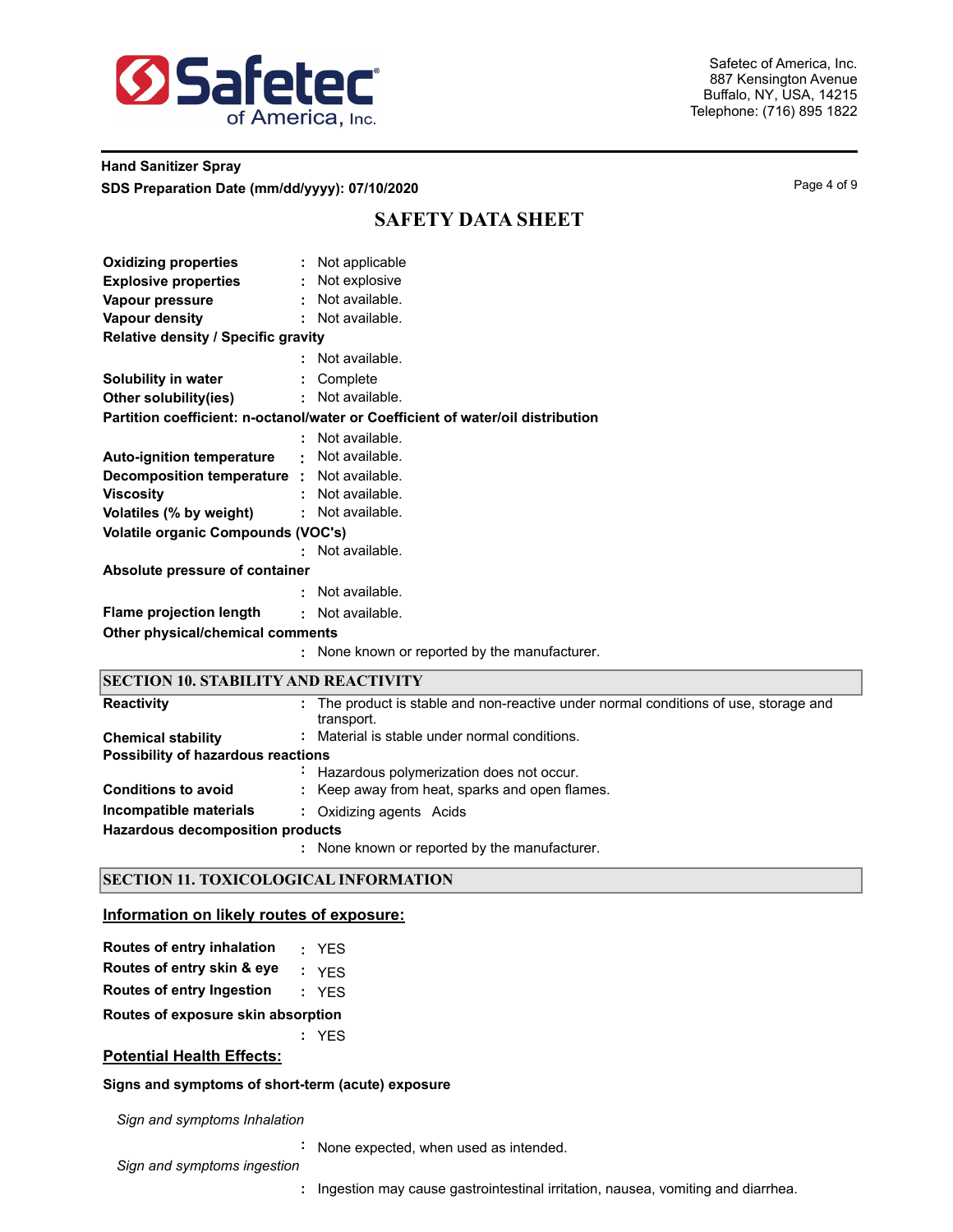

### **Hand Sanitizer Spray SDS Preparation Date (mm/dd/yyyy): 07/10/2020 Page 4 of 9** Page 4 of 9

# **SAFETY DATA SHEET**

| <b>Oxidizing properties</b>                       | : Not applicable                                                                                 |
|---------------------------------------------------|--------------------------------------------------------------------------------------------------|
| <b>Explosive properties</b>                       | Not explosive                                                                                    |
| Vapour pressure                                   | : Not available.                                                                                 |
| Vapour density                                    | : Not available.                                                                                 |
| Relative density / Specific gravity               |                                                                                                  |
|                                                   | : Not available.                                                                                 |
| Solubility in water                               | : Complete                                                                                       |
| Other solubility(ies)                             | : Not available.                                                                                 |
|                                                   | Partition coefficient: n-octanol/water or Coefficient of water/oil distribution                  |
|                                                   | Not available.                                                                                   |
| <b>Auto-ignition temperature</b>                  | Not available.                                                                                   |
| <b>Decomposition temperature :</b> Not available. |                                                                                                  |
| <b>Viscosity</b>                                  | : Not available.                                                                                 |
| Volatiles (% by weight)                           | : Not available.                                                                                 |
| <b>Volatile organic Compounds (VOC's)</b>         |                                                                                                  |
|                                                   | : Not available.                                                                                 |
| Absolute pressure of container                    |                                                                                                  |
|                                                   | : Not available.                                                                                 |
| <b>Flame projection length</b>                    | : Not available.                                                                                 |
| Other physical/chemical comments                  |                                                                                                  |
|                                                   | : None known or reported by the manufacturer.                                                    |
| <b>SECTION 10. STABILITY AND REACTIVITY</b>       |                                                                                                  |
| <b>Reactivity</b>                                 | The product is stable and non-reactive under normal conditions of use, storage and<br>transport. |
| <b>Chemical stability</b>                         | Material is stable under normal conditions.                                                      |

**Possibility of hazardous reactions**

|                            | Hazardous polymerization does not occur.       |
|----------------------------|------------------------------------------------|
| <b>Conditions to avoid</b> | : Keep away from heat, sparks and open flames. |
| Incompatible materials     | : Oxidizing agents Acids                       |
|                            |                                                |

**Hazardous decomposition products**

None known or reported by the manufacturer. **:**

#### **SECTION 11. TOXICOLOGICAL INFORMATION**

#### **Information on likely routes of exposure:**

| Routes of entry inhalation |  | <b>YES</b> |
|----------------------------|--|------------|
|----------------------------|--|------------|

- **Routes of entry skin & eye :** YES
- **Routes of entry Ingestion :** YES

**Routes of exposure skin absorption**

**:** YES

### **Potential Health Effects:**

#### **Signs and symptoms of short-term (acute) exposure**

*Sign and symptoms Inhalation*

**:** None expected, when used as intended.

*Sign and symptoms ingestion*

**:** Ingestion may cause gastrointestinal irritation, nausea, vomiting and diarrhea.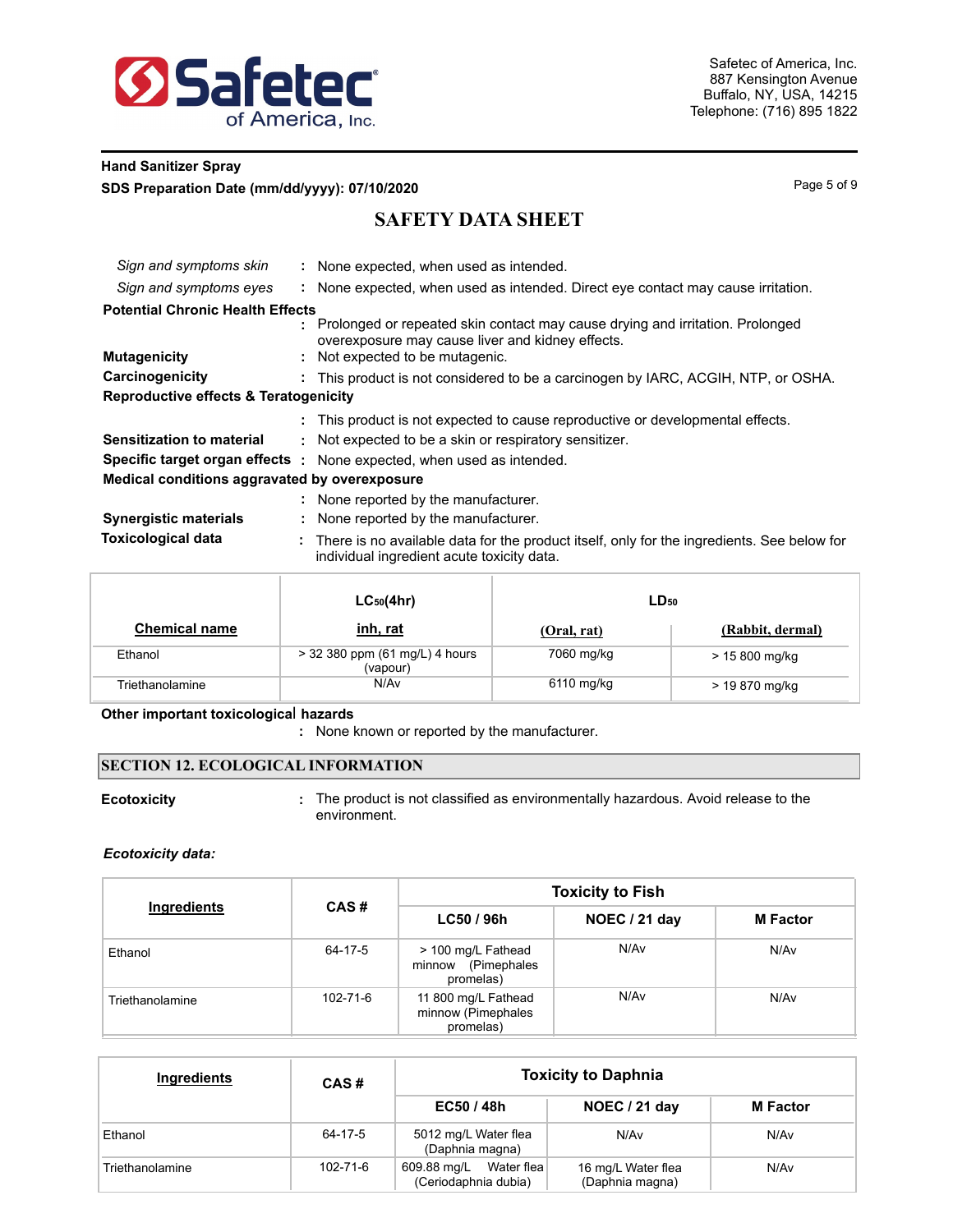

### **Hand Sanitizer Spray SDS Preparation Date (mm/dd/yyyy): 07/10/2020** Page 1 and the state of 9 Page 5 of 9

# **SAFETY DATA SHEET**

| Sign and symptoms skin                           |    | : None expected, when used as intended.                                                                                                  |
|--------------------------------------------------|----|------------------------------------------------------------------------------------------------------------------------------------------|
| Sign and symptoms eyes                           |    | None expected, when used as intended. Direct eye contact may cause irritation.                                                           |
| <b>Potential Chronic Health Effects</b>          |    |                                                                                                                                          |
|                                                  |    | : Prolonged or repeated skin contact may cause drying and irritation. Prolonged<br>overexposure may cause liver and kidney effects.      |
| <b>Mutagenicity</b>                              |    | : Not expected to be mutagenic.                                                                                                          |
| Carcinogenicity                                  |    | This product is not considered to be a carcinogen by IARC, ACGIH, NTP, or OSHA.                                                          |
| <b>Reproductive effects &amp; Teratogenicity</b> |    |                                                                                                                                          |
|                                                  |    | : This product is not expected to cause reproductive or developmental effects.                                                           |
| <b>Sensitization to material</b>                 |    | Not expected to be a skin or respiratory sensitizer.                                                                                     |
|                                                  |    | Specific target organ effects : None expected, when used as intended.                                                                    |
| Medical conditions aggravated by overexposure    |    |                                                                                                                                          |
|                                                  |    | : None reported by the manufacturer.                                                                                                     |
| <b>Synergistic materials</b>                     | ÷. | None reported by the manufacturer.                                                                                                       |
| <b>Toxicological data</b>                        |    | There is no available data for the product itself, only for the ingredients. See below for<br>individual ingredient acute toxicity data. |

|                      | $LC_{50}(4hr)$                             | $LD_{50}$   |                  |  |
|----------------------|--------------------------------------------|-------------|------------------|--|
| <b>Chemical name</b> | <u>inh, rat</u>                            | (Oral, rat) | (Rabbit, dermal) |  |
| Ethanol              | > 32 380 ppm (61 mg/L) 4 hours<br>(vapour) | 7060 mg/kg  | > 15 800 mg/kg   |  |
| Triethanolamine      | N/Av                                       | 6110 mg/kg  | > 19 870 mg/kg   |  |

#### **Other important toxicologica**l **hazards**

**:** None known or reported by the manufacturer.

### **SECTION 12. ECOLOGICAL INFORMATION**

**Ecotoxicity Exercise 2** : The product is not classified as environmentally hazardous. Avoid release to the environment.

#### *Ecotoxicity data:*

| Ingredients     |                |                                                        | <b>Toxicity to Fish</b> |                 |
|-----------------|----------------|--------------------------------------------------------|-------------------------|-----------------|
|                 | CAS#           | LC50 / 96h                                             | NOEC / 21 day           | <b>M</b> Factor |
| Ethanol         | 64-17-5        | > 100 mg/L Fathead<br>minnow (Pimephales<br>promelas)  | N/Av                    | N/Av            |
| Triethanolamine | $102 - 71 - 6$ | 11 800 mg/L Fathead<br>minnow (Pimephales<br>promelas) | N/Av                    | N/Av            |

| Ingredients     | CAS#           | <b>Toxicity to Daphnia</b>                        |                                       |                 |  |  |  |
|-----------------|----------------|---------------------------------------------------|---------------------------------------|-----------------|--|--|--|
|                 |                | EC50/48h                                          | NOEC / 21 day                         | <b>M</b> Factor |  |  |  |
| Ethanol         | 64-17-5        | 5012 mg/L Water flea<br>(Daphnia magna)           | N/Av                                  | N/Av            |  |  |  |
| Triethanolamine | $102 - 71 - 6$ | Water flea<br>609.88 mg/L<br>(Ceriodaphnia dubia) | 16 mg/L Water flea<br>(Daphnia magna) | N/Av            |  |  |  |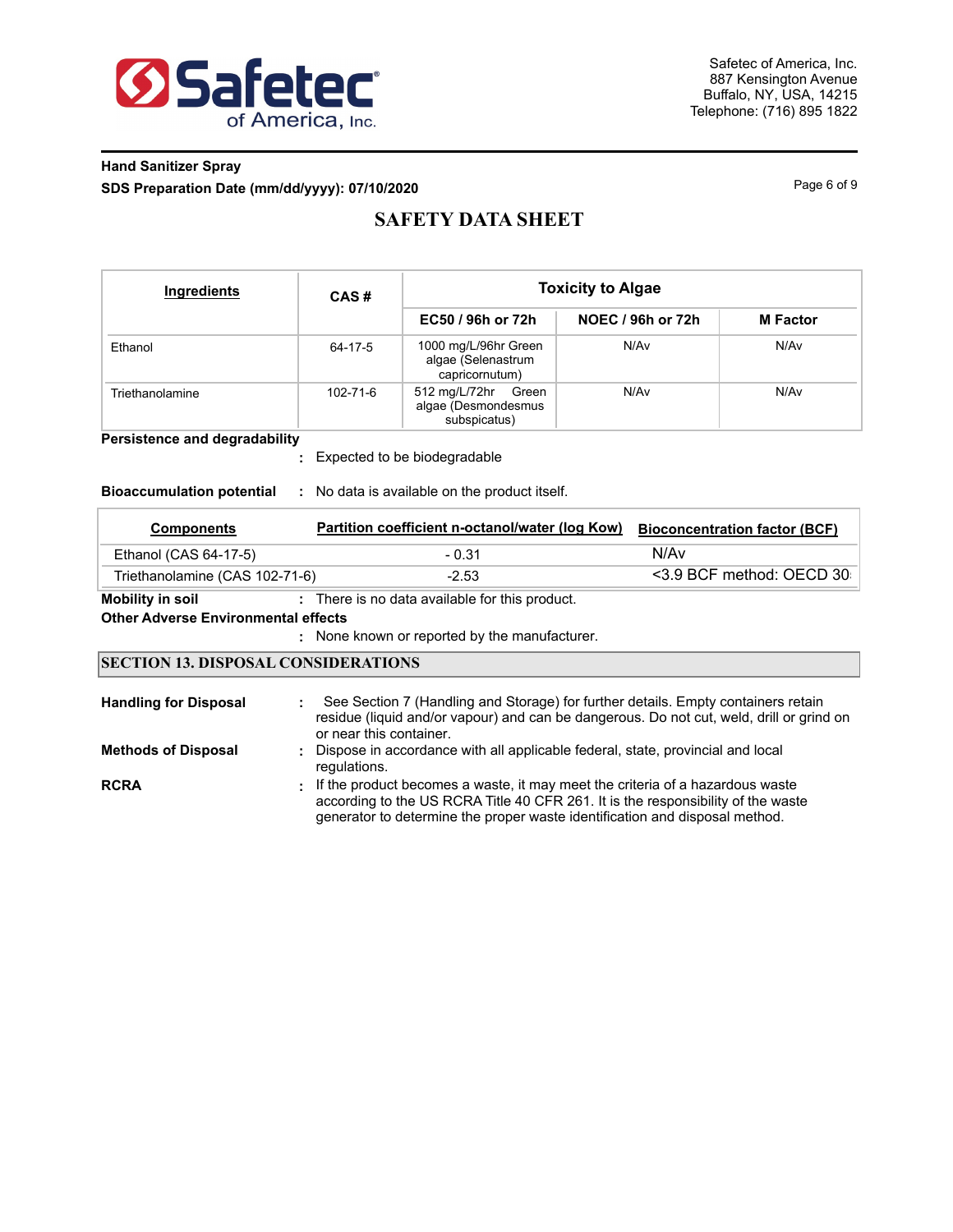

## **Hand Sanitizer Spray SDS Preparation Date (mm/dd/yyyy): 07/10/2020** Page 6 of 9

# **SAFETY DATA SHEET**

| Ingredients     | CAS#           |                                                               | <b>Toxicity to Algae</b> |                 |
|-----------------|----------------|---------------------------------------------------------------|--------------------------|-----------------|
|                 |                | EC50 / 96h or 72h                                             | NOEC / 96h or 72h        | <b>M</b> Factor |
| Ethanol         | 64-17-5        | 1000 mg/L/96hr Green<br>algae (Selenastrum<br>capricornutum)  | N/Av                     | N/Av            |
| Triethanolamine | $102 - 71 - 6$ | 512 mg/L/72hr<br>Green<br>algae (Desmondesmus<br>subspicatus) | N/Av                     | N/Av            |

**Persistence and degradability**

Expected to be biodegradable **:**

#### **Bioaccumulation potential :** No data is available on the product itself.

| mnonents | Partition coefficient n-octanol/water (log Kow) Bioconcent |  |
|----------|------------------------------------------------------------|--|

| <b>Components</b>              | Partition coefficient n-octanol/water (log Kow) | <b>Bioconcentration factor (BCF)</b> |
|--------------------------------|-------------------------------------------------|--------------------------------------|
| Ethanol (CAS 64-17-5)          | - 0.31                                          | N/Av                                 |
| Triethanolamine (CAS 102-71-6) | $-2.53$                                         | <3.9 BCF method: OECD 30             |

**Mobility in soil :** There is no data available for this product.

#### **Other Adverse Environmental effects**

None known or reported by the manufacturer. **:**

#### **SECTION 13. DISPOSAL CONSIDERATIONS**

| <b>Handling for Disposal</b> | See Section 7 (Handling and Storage) for further details. Empty containers retain<br>residue (liquid and/or vapour) and can be dangerous. Do not cut, weld, drill or grind on<br>or near this container.                                           |
|------------------------------|----------------------------------------------------------------------------------------------------------------------------------------------------------------------------------------------------------------------------------------------------|
| <b>Methods of Disposal</b>   | Dispose in accordance with all applicable federal, state, provincial and local<br>regulations.                                                                                                                                                     |
| <b>RCRA</b>                  | : If the product becomes a waste, it may meet the criteria of a hazardous waste<br>according to the US RCRA Title 40 CFR 261. It is the responsibility of the waste<br>generator to determine the proper waste identification and disposal method. |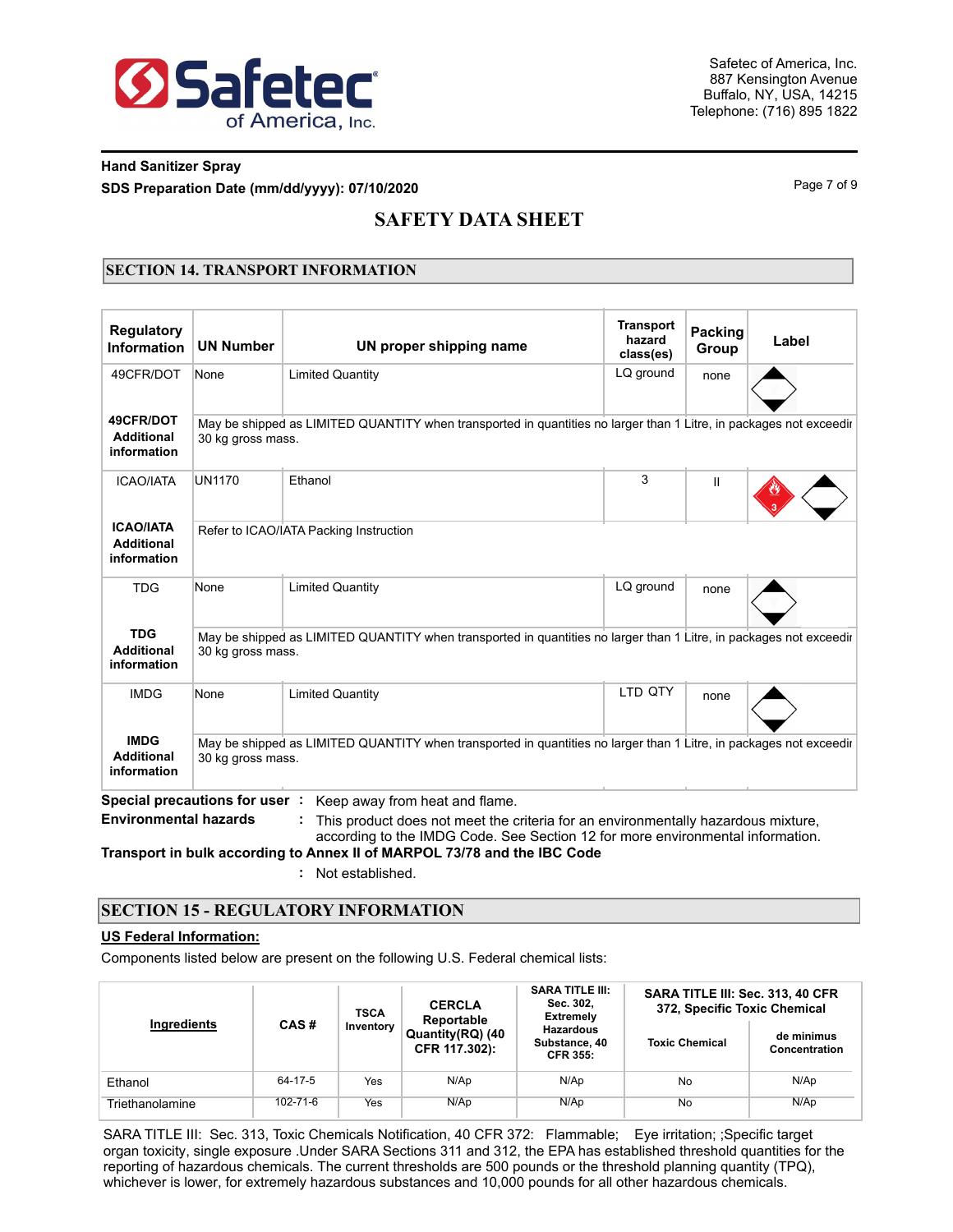

### **Hand Sanitizer Spray SDS Preparation Date (mm/dd/yyyy): 07/10/2020** Page 7 of 9

# **SAFETY DATA SHEET**

### **SECTION 14. TRANSPORT INFORMATION**

| <b>Regulatory</b><br><b>Information</b>                                                                                                                                                    | <b>UN Number</b>                       | UN proper shipping name                                                                                                                                                                               | <b>Transport</b><br>hazard<br>class(es) | <b>Packing</b><br>Group | Label |  |  |  |
|--------------------------------------------------------------------------------------------------------------------------------------------------------------------------------------------|----------------------------------------|-------------------------------------------------------------------------------------------------------------------------------------------------------------------------------------------------------|-----------------------------------------|-------------------------|-------|--|--|--|
| 49CFR/DOT                                                                                                                                                                                  | None                                   | <b>Limited Quantity</b>                                                                                                                                                                               | LQ ground                               | none                    |       |  |  |  |
| 49CFR/DOT<br><b>Additional</b><br>information                                                                                                                                              | 30 kg gross mass.                      | May be shipped as LIMITED QUANTITY when transported in quantities no larger than 1 Litre, in packages not exceedir                                                                                    |                                         |                         |       |  |  |  |
| <b>ICAO/IATA</b>                                                                                                                                                                           | <b>UN1170</b>                          | Ethanol                                                                                                                                                                                               | 3                                       | Ш                       |       |  |  |  |
| <b>ICAO/IATA</b><br><b>Additional</b><br>information                                                                                                                                       | Refer to ICAO/IATA Packing Instruction |                                                                                                                                                                                                       |                                         |                         |       |  |  |  |
| <b>TDG</b>                                                                                                                                                                                 | None                                   | <b>Limited Quantity</b>                                                                                                                                                                               | LQ ground                               | none                    |       |  |  |  |
| <b>TDG</b><br><b>Additional</b><br>information                                                                                                                                             | 30 kg gross mass.                      | May be shipped as LIMITED QUANTITY when transported in quantities no larger than 1 Litre, in packages not exceedir                                                                                    |                                         |                         |       |  |  |  |
| <b>IMDG</b>                                                                                                                                                                                | None                                   | <b>Limited Quantity</b>                                                                                                                                                                               | LTD QTY                                 | none                    |       |  |  |  |
| <b>IMDG</b><br>May be shipped as LIMITED QUANTITY when transported in quantities no larger than 1 Litre, in packages not exceedir<br><b>Additional</b><br>30 kg gross mass.<br>information |                                        |                                                                                                                                                                                                       |                                         |                         |       |  |  |  |
| <b>Environmental hazards</b>                                                                                                                                                               | Special precautions for user:          | Keep away from heat and flame.<br>This product does not meet the criteria for an environmentally hazardous mixture,<br>according to the IMDG Code. See Section 12 for more environmental information. |                                         |                         |       |  |  |  |

**Transport in bulk according to Annex II of MARPOL 73/78 and the IBC Code**

**:** Not established.

#### **SECTION 15 - REGULATORY INFORMATION**

### **US Federal Information:**

Components listed below are present on the following U.S. Federal chemical lists:

| Ingredients     | CAS#           | <b>TSCA</b> | <b>CERCLA</b><br>Reportable       | <b>SARA TITLE III:</b><br>Sec. 302.<br><b>Extremely</b> | SARA TITLE III: Sec. 313, 40 CFR<br>372, Specific Toxic Chemical |                             |  |
|-----------------|----------------|-------------|-----------------------------------|---------------------------------------------------------|------------------------------------------------------------------|-----------------------------|--|
|                 |                | Inventory   | Quantity(RQ) (40<br>CFR 117.302): | <b>Hazardous</b><br>Substance, 40<br><b>CFR 355:</b>    | <b>Toxic Chemical</b>                                            | de minimus<br>Concentration |  |
| Ethanol         | 64-17-5        | Yes         | N/Ap                              | N/Ap<br>No                                              |                                                                  | N/Ap                        |  |
| Triethanolamine | $102 - 71 - 6$ | Yes         | N/Ap                              | N/Ap                                                    | No                                                               | N/Ap                        |  |

SARA TITLE III: Sec. 313, Toxic Chemicals Notification, 40 CFR 372: Flammable; Eye irritation; ;Specific target organ toxicity, single exposure .Under SARA Sections 311 and 312, the EPA has established threshold quantities for the reporting of hazardous chemicals. The current thresholds are 500 pounds or the threshold planning quantity (TPQ), whichever is lower, for extremely hazardous substances and 10,000 pounds for all other hazardous chemicals.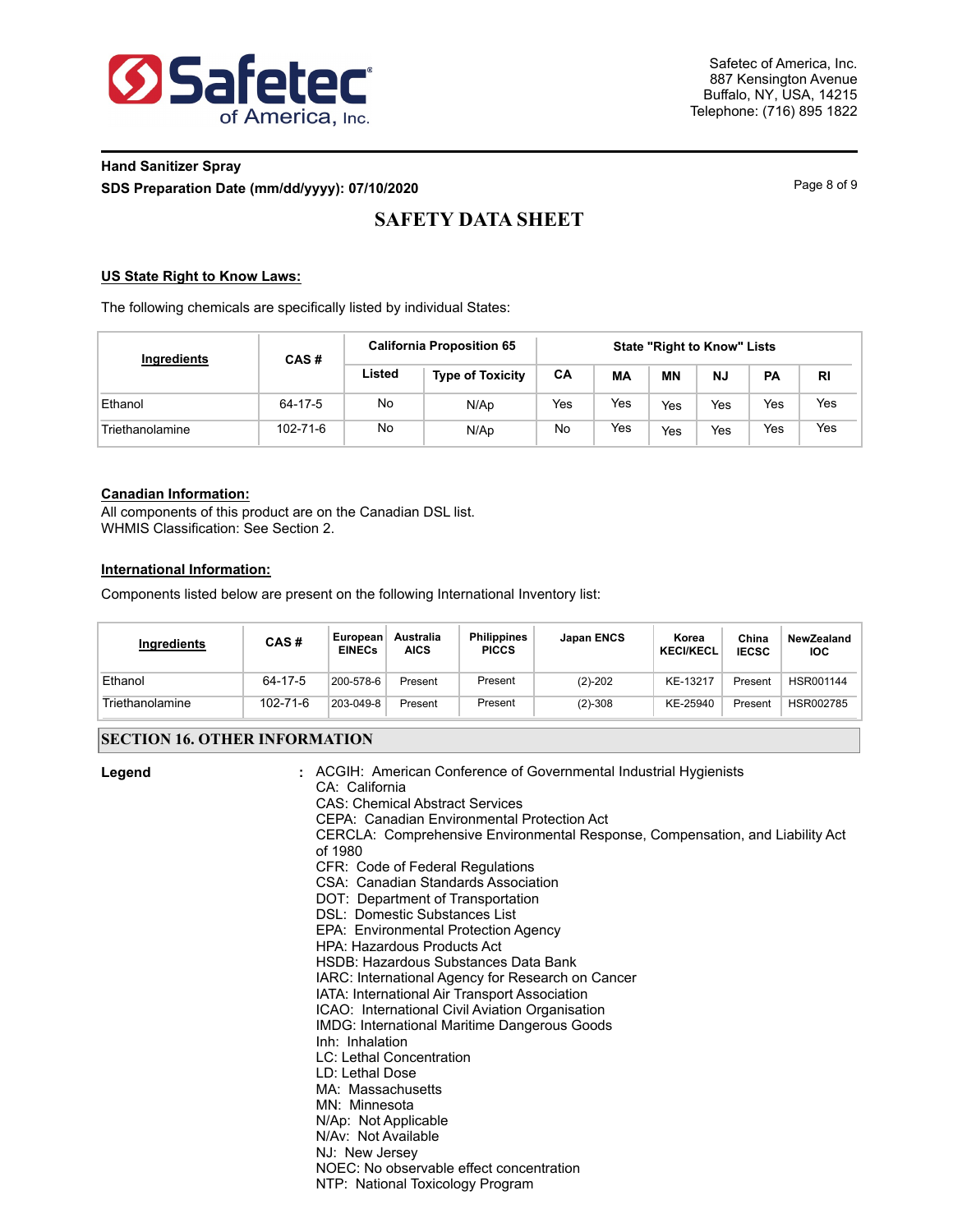

## **Hand Sanitizer Spray SDS Preparation Date (mm/dd/yyyy): 07/10/2020** Page 8 of 9

# **SAFETY DATA SHEET**

#### **US State Right to Know Laws:**

The following chemicals are specifically listed by individual States:

| Ingredients     | CAS#     |        | <b>California Proposition 65</b> |     |     | <b>State "Right to Know" Lists</b><br><b>MN</b><br><b>PA</b><br><b>NJ</b><br><b>RI</b><br>Yes<br>Yes<br>Yes<br>Yes<br>Yes<br>Yes<br>Yes<br>Yes |  |  |  |  |  |  |
|-----------------|----------|--------|----------------------------------|-----|-----|------------------------------------------------------------------------------------------------------------------------------------------------|--|--|--|--|--|--|
|                 |          | Listed | <b>Type of Toxicity</b>          | CA  | МA  |                                                                                                                                                |  |  |  |  |  |  |
| Ethanol         | 64-17-5  | No     | N/Ap                             | Yes | Yes |                                                                                                                                                |  |  |  |  |  |  |
| Triethanolamine | 102-71-6 | No     | N/Ap                             | No  | Yes |                                                                                                                                                |  |  |  |  |  |  |

#### **Canadian Information:**

All components of this product are on the Canadian DSL list. WHMIS Classification: See Section 2.

#### **International Information:**

Components listed below are present on the following International Inventory list:

| Ingredients     | CAS#     | European<br><b>EINECs</b> | Australia<br><b>AICS</b> | <b>Philippines</b><br><b>PICCS</b> | Japan ENCS | Korea<br><b>KECI/KECL</b> | China<br><b>IECSC</b> | NewZealand<br><b>IOC</b> |
|-----------------|----------|---------------------------|--------------------------|------------------------------------|------------|---------------------------|-----------------------|--------------------------|
| Ethanol         | 64-17-5  | 200-578-6                 | Present                  | Present                            | $(2)-202$  | KE-13217                  | Present               | HSR001144                |
| Triethanolamine | 102-71-6 | 203-049-8                 | Present                  | Present                            | $(2)-308$  | KE-25940                  | Present               | HSR002785                |

#### **SECTION 16. OTHER INFORMATION**

| Legend | : ACGIH: American Conference of Governmental Industrial Hygienists<br>CA: California<br><b>CAS: Chemical Abstract Services</b><br>CEPA: Canadian Environmental Protection Act<br>CERCLA: Comprehensive Environmental Response, Compensation, and Liability Act<br>of 1980<br>CFR: Code of Federal Regulations<br>CSA: Canadian Standards Association<br>DOT: Department of Transportation<br>DSL: Domestic Substances List<br>EPA: Environmental Protection Agency<br><b>HPA: Hazardous Products Act</b><br>HSDB: Hazardous Substances Data Bank<br>IARC: International Agency for Research on Cancer<br>IATA: International Air Transport Association<br>ICAO: International Civil Aviation Organisation<br>IMDG: International Maritime Dangerous Goods<br>Inh: Inhalation<br>LC: Lethal Concentration<br>LD: Lethal Dose<br>MA: Massachusetts<br>MN: Minnesota<br>N/Ap: Not Applicable<br>N/Av: Not Available<br>NJ: New Jersey<br>NOEC: No observable effect concentration<br>NTP: National Toxicology Program |
|--------|--------------------------------------------------------------------------------------------------------------------------------------------------------------------------------------------------------------------------------------------------------------------------------------------------------------------------------------------------------------------------------------------------------------------------------------------------------------------------------------------------------------------------------------------------------------------------------------------------------------------------------------------------------------------------------------------------------------------------------------------------------------------------------------------------------------------------------------------------------------------------------------------------------------------------------------------------------------------------------------------------------------------|
|--------|--------------------------------------------------------------------------------------------------------------------------------------------------------------------------------------------------------------------------------------------------------------------------------------------------------------------------------------------------------------------------------------------------------------------------------------------------------------------------------------------------------------------------------------------------------------------------------------------------------------------------------------------------------------------------------------------------------------------------------------------------------------------------------------------------------------------------------------------------------------------------------------------------------------------------------------------------------------------------------------------------------------------|